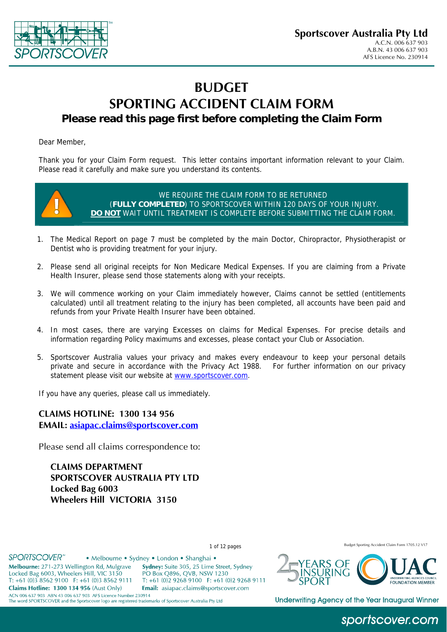

# **BUDGET SPORTING ACCIDENT CLAIM FORM Please read this page first before completing the Claim Form**

Dear Member,

Thank you for your Claim Form request. This letter contains important information relevant to your Claim. Please read it carefully and make sure you understand its contents.



WE REQUIRE THE CLAIM FORM TO BE RETURNED (**FULLY COMPLETED**) TO SPORTSCOVER WITHIN 120 DAYS OF YOUR INJURY. **DO NOT** WAIT UNTIL TREATMENT IS COMPLETE BEFORE SUBMITTING THE CLAIM FORM.

- 1. The Medical Report on page 7 must be completed by the main Doctor, Chiropractor, Physiotherapist or Dentist who is providing treatment for your injury.
- 2. Please send all original receipts for Non Medicare Medical Expenses. If you are claiming from a Private Health Insurer, please send those statements along with your receipts.
- 3. We will commence working on your Claim immediately however, Claims cannot be settled (entitlements calculated) until all treatment relating to the injury has been completed, all accounts have been paid and refunds from your Private Health Insurer have been obtained.
- 4. In most cases, there are varying Excesses on claims for Medical Expenses. For precise details and information regarding Policy maximums and excesses, please contact your Club or Association.
- 5. Sportscover Australia values your privacy and makes every endeavour to keep your personal details private and secure in accordance with the Privacy Act 1988. For further information on our privacy statement please visit our website at [www.sportscover.com](http://www.sportscover.com/).

If you have any queries, please call us immediately.

**CLAIMS HOTLINE: 1300 134 956 EMAIL: [asiapac.claims@sportscover.com](mailto:asiapac.claims@sportscover.com)**

Please send all claims correspondence to:

**CLAIMS DEPARTMENT SPORTSCOVER AUSTRALIA PTY LTD Locked Bag 6003 Wheelers Hill VICTORIA 3150** 

#### **SPORTSCOVER**<sup>\*\*</sup>

Melbourne: 271-273 Wellington Rd, Mulgrave

T: +61 (0)3 8562 9100 F: +61 (0)3 8562 9111

Locked Bag 6003, Wheelers Hill, VIC 3150

Claims Hotline: 1300 134 956 (Aust Only)

• Melbourne • Sydney • London • Shanghai •

Sydney: Suite 305, 25 Lime Street, Sydney PO Box O896, OVB, NSW 1230 T: +61 (0)2 9268 9100 F: +61 (0)2 9268 9111 Email: asiapac.claims@sportscover.com

**EQUINDATION MEMBER** 

1 of 12 pages Budget Sporting Accident Claim Form 1705.12 V17

ACN 006 637 903 ABN 43 006 637 903 AFS Licence Number 230914 The word SPORTSCOVER and the Sportscover logo are registered trademarks of Sportscover Australia Pty Ltd



### sportscover.com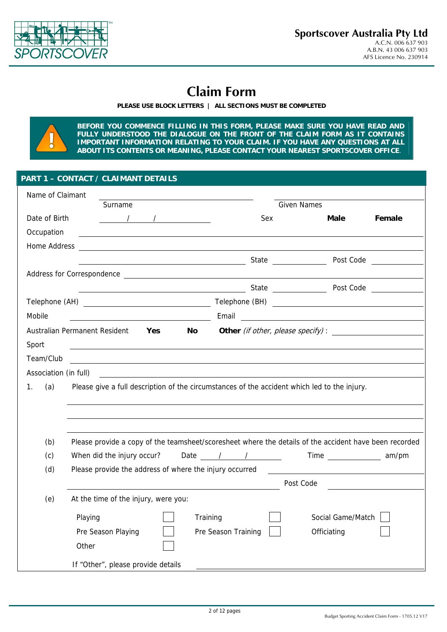

# **Claim Form**

**PLEASE USE BLOCK LETTERS | ALL SECTIONS MUST BE COMPLETED** 



**BEFORE YOU COMMENCE FILLING IN THIS FORM, PLEASE MAKE SURE YOU HAVE READ AND FULLY UNDERSTOOD THE DIALOGUE ON THE FRONT OF THE CLAIM FORM AS IT CONTAINS IMPORTANT INFORMATION RELATING TO YOUR CLAIM. IF YOU HAVE ANY QUESTIONS AT ALL ABOUT ITS CONTENTS OR MEANING, PLEASE CONTACT YOUR NEAREST SPORTSCOVER OFFICE**.

#### **PART 1 – CONTACT / CLAIMANT DETAILS**

| Name of Claimant                                                                                                                                                                                                                                                                                                                     |                       |                                   |                                           |
|--------------------------------------------------------------------------------------------------------------------------------------------------------------------------------------------------------------------------------------------------------------------------------------------------------------------------------------|-----------------------|-----------------------------------|-------------------------------------------|
| Surname                                                                                                                                                                                                                                                                                                                              |                       | <b>Given Names</b>                |                                           |
| Date of Birth<br>$\frac{1}{2}$ $\frac{1}{2}$ $\frac{1}{2}$ $\frac{1}{2}$ $\frac{1}{2}$ $\frac{1}{2}$ $\frac{1}{2}$ $\frac{1}{2}$ $\frac{1}{2}$ $\frac{1}{2}$ $\frac{1}{2}$ $\frac{1}{2}$ $\frac{1}{2}$ $\frac{1}{2}$ $\frac{1}{2}$ $\frac{1}{2}$ $\frac{1}{2}$ $\frac{1}{2}$ $\frac{1}{2}$ $\frac{1}{2}$ $\frac{1}{2}$ $\frac{1}{2}$ | Sex                   | Male                              | Female                                    |
| Occupation                                                                                                                                                                                                                                                                                                                           |                       |                                   |                                           |
| Home Address                                                                                                                                                                                                                                                                                                                         |                       |                                   |                                           |
|                                                                                                                                                                                                                                                                                                                                      |                       |                                   | Post Code <b>Communist Communist Code</b> |
|                                                                                                                                                                                                                                                                                                                                      |                       |                                   |                                           |
| example and the state of the State of the Post Code and the State of the State of the State of the State of the State of the State of the State of the State of the State of the State of the State of the State of the State                                                                                                        |                       |                                   |                                           |
|                                                                                                                                                                                                                                                                                                                                      |                       |                                   |                                           |
| Mobile                                                                                                                                                                                                                                                                                                                               |                       |                                   |                                           |
| Australian Permanent Resident<br>Yes<br><b>No</b>                                                                                                                                                                                                                                                                                    |                       | Other (if other, please specify): |                                           |
| Sport                                                                                                                                                                                                                                                                                                                                |                       |                                   |                                           |
| Team/Club                                                                                                                                                                                                                                                                                                                            |                       |                                   |                                           |
| Association (in full)<br><u> 1980 - Jan James James Barbara, martxa a shekara 1980 - Andrea San A</u>                                                                                                                                                                                                                                |                       |                                   |                                           |
| (a)<br>1.<br>Please give a full description of the circumstances of the accident which led to the injury.                                                                                                                                                                                                                            |                       |                                   |                                           |
|                                                                                                                                                                                                                                                                                                                                      |                       |                                   |                                           |
|                                                                                                                                                                                                                                                                                                                                      |                       |                                   |                                           |
|                                                                                                                                                                                                                                                                                                                                      |                       |                                   |                                           |
| (b)<br>Please provide a copy of the teamsheet/scoresheet where the details of the accident have been recorded                                                                                                                                                                                                                        |                       |                                   |                                           |
| (c)<br>When did the injury occur?                                                                                                                                                                                                                                                                                                    | Date / / / Time am/pm |                                   |                                           |
| Please provide the address of where the injury occurred<br>(d)                                                                                                                                                                                                                                                                       |                       |                                   |                                           |
|                                                                                                                                                                                                                                                                                                                                      |                       | Post Code                         |                                           |
| (e)<br>At the time of the injury, were you:                                                                                                                                                                                                                                                                                          |                       |                                   |                                           |
| Playing                                                                                                                                                                                                                                                                                                                              | Training              | Social Game/Match                 |                                           |
| Pre Season Playing                                                                                                                                                                                                                                                                                                                   | Pre Season Training   | Officiating                       |                                           |
| Other                                                                                                                                                                                                                                                                                                                                |                       |                                   |                                           |
|                                                                                                                                                                                                                                                                                                                                      |                       |                                   |                                           |
| If "Other", please provide details                                                                                                                                                                                                                                                                                                   |                       |                                   |                                           |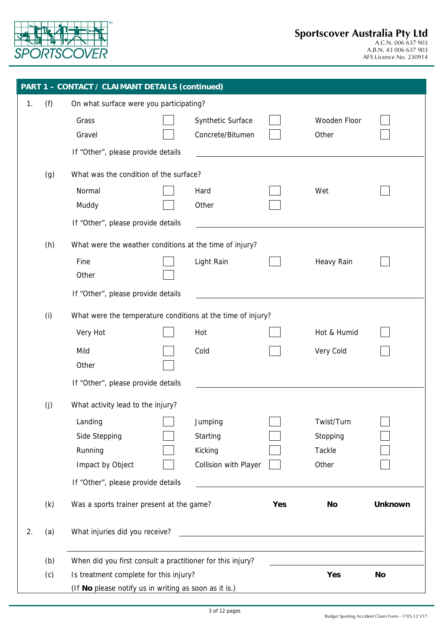

|    |     | <b>PART 1 - CONTACT / CLAIMANT DETAILS (continued)</b>      |                                                                                                                       |     |              |                |
|----|-----|-------------------------------------------------------------|-----------------------------------------------------------------------------------------------------------------------|-----|--------------|----------------|
| 1. | (f) | On what surface were you participating?                     |                                                                                                                       |     |              |                |
|    |     | Grass                                                       | Synthetic Surface                                                                                                     |     | Wooden Floor |                |
|    |     | Gravel                                                      | Concrete/Bitumen                                                                                                      |     | Other        |                |
|    |     | If "Other", please provide details                          |                                                                                                                       |     |              |                |
|    | (g) | What was the condition of the surface?                      |                                                                                                                       |     |              |                |
|    |     | Normal                                                      | Hard                                                                                                                  |     | Wet          |                |
|    |     | Muddy                                                       | Other                                                                                                                 |     |              |                |
|    |     | If "Other", please provide details                          |                                                                                                                       |     |              |                |
|    | (h) | What were the weather conditions at the time of injury?     |                                                                                                                       |     |              |                |
|    |     | Fine                                                        | Light Rain                                                                                                            |     | Heavy Rain   |                |
|    |     | Other                                                       |                                                                                                                       |     |              |                |
|    |     | If "Other", please provide details                          |                                                                                                                       |     |              |                |
|    | (i) | What were the temperature conditions at the time of injury? |                                                                                                                       |     |              |                |
|    |     | Very Hot                                                    | Hot                                                                                                                   |     | Hot & Humid  |                |
|    |     | Mild                                                        | Cold                                                                                                                  |     | Very Cold    |                |
|    |     | Other                                                       |                                                                                                                       |     |              |                |
|    |     | If "Other", please provide details                          |                                                                                                                       |     |              |                |
|    | (j) | What activity lead to the injury?                           |                                                                                                                       |     |              |                |
|    |     | Landing                                                     | Jumping                                                                                                               |     | Twist/Turn   |                |
|    |     | Side Stepping                                               | Starting                                                                                                              |     | Stopping     |                |
|    |     | Running                                                     | Kicking                                                                                                               |     | Tackle       |                |
|    |     | Impact by Object                                            | Collision with Player                                                                                                 |     | Other        |                |
|    |     | If "Other", please provide details                          |                                                                                                                       |     |              |                |
|    | (k) | Was a sports trainer present at the game?                   |                                                                                                                       | Yes | No           | <b>Unknown</b> |
| 2. | (a) | What injuries did you receive?                              | <u> 1989 - Johann Harry Barn, mars and de Branch and de Branch and de Branch and de Branch and de Branch and de B</u> |     |              |                |
|    |     |                                                             |                                                                                                                       |     |              |                |
|    | (b) | When did you first consult a practitioner for this injury?  |                                                                                                                       |     |              |                |
|    | (c) | Is treatment complete for this injury?                      |                                                                                                                       |     | Yes          | <b>No</b>      |
|    |     | (If No please notify us in writing as soon as it is.)       |                                                                                                                       |     |              |                |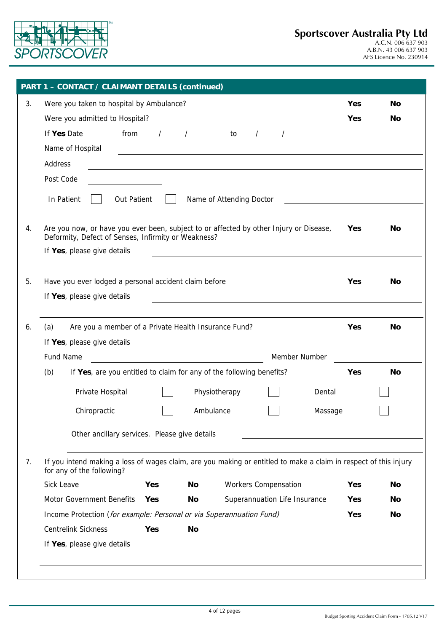

AFS Licence No. 230914

|    | <b>PART 1 - CONTACT / CLAIMANT DETAILS (continued)</b>                                                                                                                       |            |           |
|----|------------------------------------------------------------------------------------------------------------------------------------------------------------------------------|------------|-----------|
| 3. | Were you taken to hospital by Ambulance?                                                                                                                                     | Yes        | <b>No</b> |
|    | Were you admitted to Hospital?                                                                                                                                               | Yes        | No        |
|    | from<br>If Yes Date<br>$\prime$<br>to<br>$\prime$<br>$\prime$<br>$\prime$                                                                                                    |            |           |
|    | Name of Hospital                                                                                                                                                             |            |           |
|    | Address<br><u> 1989 - Johann Stoff, deutscher Stoffen und der Stoffen und der Stoffen und der Stoffen und der Stoffen und de</u>                                             |            |           |
|    | Post Code                                                                                                                                                                    |            |           |
|    | In Patient<br><b>Out Patient</b><br>Name of Attending Doctor                                                                                                                 |            |           |
| 4. | Are you now, or have you ever been, subject to or affected by other Injury or Disease,<br>Deformity, Defect of Senses, Infirmity or Weakness?<br>If Yes, please give details | Yes        | No        |
| 5. | Have you ever lodged a personal accident claim before                                                                                                                        | Yes        | No        |
|    | If Yes, please give details                                                                                                                                                  |            |           |
| 6. | (a)<br>Are you a member of a Private Health Insurance Fund?                                                                                                                  | Yes        | No        |
|    | If Yes, please give details                                                                                                                                                  |            |           |
|    | Fund Name<br>Member Number                                                                                                                                                   |            |           |
|    | (b)<br>If Yes, are you entitled to claim for any of the following benefits?                                                                                                  | Yes        | No        |
|    | Private Hospital<br>Physiotherapy<br>Dental                                                                                                                                  |            |           |
|    | Chiropractic<br>Ambulance<br>Massage                                                                                                                                         |            |           |
|    | Other ancillary services. Please give details                                                                                                                                |            |           |
| 7. | If you intend making a loss of wages claim, are you making or entitled to make a claim in respect of this injury<br>for any of the following?                                |            |           |
|    | Sick Leave<br><b>Workers Compensation</b><br><b>Yes</b><br>No                                                                                                                | Yes        | <b>No</b> |
|    | Motor Government Benefits<br>Superannuation Life Insurance<br><b>Yes</b><br>No                                                                                               | <b>Yes</b> | <b>No</b> |
|    | Income Protection (for example: Personal or via Superannuation Fund)                                                                                                         | Yes        | No        |
|    | <b>Centrelink Sickness</b><br>Yes<br><b>No</b>                                                                                                                               |            |           |
|    | If Yes, please give details                                                                                                                                                  |            |           |
|    |                                                                                                                                                                              |            |           |
|    |                                                                                                                                                                              |            |           |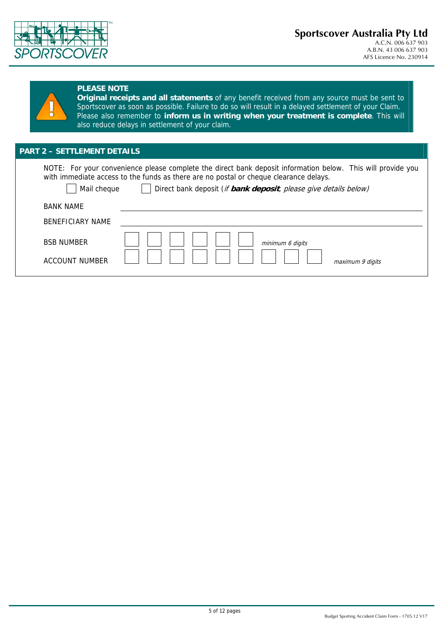



#### **PLEASE NOTE**

**Original receipts and all statements** of any benefit received from any source must be sent to Sportscover as soon as possible. Failure to do so will result in a delayed settlement of your Claim. Please also remember to **inform us in writing when your treatment is complete**. This will also reduce delays in settlement of your claim.

### **PART 2 – SETTLEMENT DETAILS**

NOTE: For your convenience please complete the direct bank deposit information below. This will provide you with immediate access to the funds as there are no postal or cheque clearance delays.

Mail cheque **Direct bank deposit** (*if bank deposit*, *please give details below)* 

| <b>BANK NAME</b>                           |                                      |
|--------------------------------------------|--------------------------------------|
| <b>BENEFICIARY NAME</b>                    |                                      |
| <b>BSB NUMBER</b><br><b>ACCOUNT NUMBER</b> | minimum 6 digits<br>maximum 9 digits |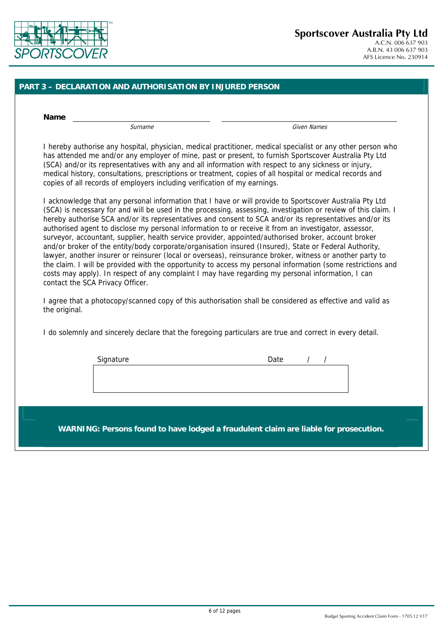

#### **PART 3 – DECLARATION AND AUTHORISATION BY INJURED PERSON**

**Name** 

Surname Given Names

I hereby authorise any hospital, physician, medical practitioner, medical specialist or any other person who has attended me and/or any employer of mine, past or present, to furnish Sportscover Australia Pty Ltd (SCA) and/or its representatives with any and all information with respect to any sickness or injury, medical history, consultations, prescriptions or treatment, copies of all hospital or medical records and copies of all records of employers including verification of my earnings.

I acknowledge that any personal information that I have or will provide to Sportscover Australia Pty Ltd (SCA) is necessary for and will be used in the processing, assessing, investigation or review of this claim. I hereby authorise SCA and/or its representatives and consent to SCA and/or its representatives and/or its authorised agent to disclose my personal information to or receive it from an investigator, assessor, surveyor, accountant, supplier, health service provider, appointed/authorised broker, account broker and/or broker of the entity/body corporate/organisation insured (Insured), State or Federal Authority, lawyer, another insurer or reinsurer (local or overseas), reinsurance broker, witness or another party to the claim. I will be provided with the opportunity to access my personal information (some restrictions and costs may apply). In respect of any complaint I may have regarding my personal information, I can contact the SCA Privacy Officer.

I agree that a photocopy/scanned copy of this authorisation shall be considered as effective and valid as the original.

I do solemnly and sincerely declare that the foregoing particulars are true and correct in every detail.

| Signature | Date |  |  |
|-----------|------|--|--|
|           |      |  |  |
|           |      |  |  |
|           |      |  |  |

**WARNING: Persons found to have lodged a fraudulent claim are liable for prosecution.**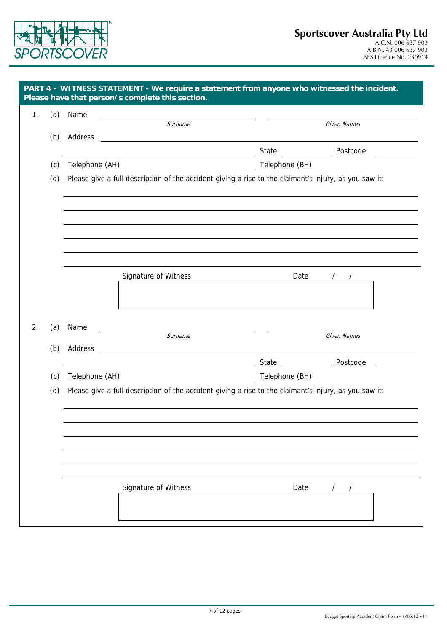

| (a)<br>(b)<br>(c)<br>(d) | Name<br>Address | <u> 1989 - Johann Barbara, martin amerikan basar dan berasal dalam basar dalam basar dalam basar dalam basar dala</u><br>Surname<br><u> 1980 - John Stein, Amerikaansk politiker (* 1908)</u><br>Telephone (AH) Telephone (BH) Telephone (BH)<br>Please give a full description of the accident giving a rise to the claimant's injury, as you saw it: |          | Given Names<br>State Postcode                                                                                                                                                                                                  |  |
|--------------------------|-----------------|--------------------------------------------------------------------------------------------------------------------------------------------------------------------------------------------------------------------------------------------------------------------------------------------------------------------------------------------------------|----------|--------------------------------------------------------------------------------------------------------------------------------------------------------------------------------------------------------------------------------|--|
|                          |                 |                                                                                                                                                                                                                                                                                                                                                        |          |                                                                                                                                                                                                                                |  |
|                          |                 |                                                                                                                                                                                                                                                                                                                                                        |          |                                                                                                                                                                                                                                |  |
|                          |                 |                                                                                                                                                                                                                                                                                                                                                        |          |                                                                                                                                                                                                                                |  |
|                          |                 |                                                                                                                                                                                                                                                                                                                                                        |          |                                                                                                                                                                                                                                |  |
|                          |                 |                                                                                                                                                                                                                                                                                                                                                        |          |                                                                                                                                                                                                                                |  |
|                          |                 |                                                                                                                                                                                                                                                                                                                                                        |          |                                                                                                                                                                                                                                |  |
|                          |                 |                                                                                                                                                                                                                                                                                                                                                        |          |                                                                                                                                                                                                                                |  |
|                          |                 |                                                                                                                                                                                                                                                                                                                                                        |          |                                                                                                                                                                                                                                |  |
|                          |                 |                                                                                                                                                                                                                                                                                                                                                        |          |                                                                                                                                                                                                                                |  |
|                          |                 |                                                                                                                                                                                                                                                                                                                                                        |          |                                                                                                                                                                                                                                |  |
|                          |                 |                                                                                                                                                                                                                                                                                                                                                        |          |                                                                                                                                                                                                                                |  |
|                          |                 | Signature of Witness                                                                                                                                                                                                                                                                                                                                   | Date / / |                                                                                                                                                                                                                                |  |
|                          |                 |                                                                                                                                                                                                                                                                                                                                                        |          |                                                                                                                                                                                                                                |  |
|                          |                 |                                                                                                                                                                                                                                                                                                                                                        |          |                                                                                                                                                                                                                                |  |
| (a)                      | Name            |                                                                                                                                                                                                                                                                                                                                                        |          |                                                                                                                                                                                                                                |  |
| (b)                      | Address         | Surname                                                                                                                                                                                                                                                                                                                                                |          | Given Names                                                                                                                                                                                                                    |  |
|                          |                 |                                                                                                                                                                                                                                                                                                                                                        |          | State Postcode                                                                                                                                                                                                                 |  |
| (c)                      |                 | <u> 1989 - Johann Barn, mars ann an t-Amhain Aonaich an t-Aonaich an t-Aonaich ann an t-Aonaich ann an t-Aonaich</u>                                                                                                                                                                                                                                   |          | Telephone (BH) and the state of the state of the state of the state of the state of the state of the state of the state of the state of the state of the state of the state of the state of the state of the state of the stat |  |
| (d)                      |                 | Please give a full description of the accident giving a rise to the claimant's injury, as you saw it:                                                                                                                                                                                                                                                  |          |                                                                                                                                                                                                                                |  |
|                          |                 |                                                                                                                                                                                                                                                                                                                                                        |          |                                                                                                                                                                                                                                |  |
|                          |                 |                                                                                                                                                                                                                                                                                                                                                        |          |                                                                                                                                                                                                                                |  |
|                          |                 |                                                                                                                                                                                                                                                                                                                                                        |          |                                                                                                                                                                                                                                |  |
|                          |                 |                                                                                                                                                                                                                                                                                                                                                        |          |                                                                                                                                                                                                                                |  |
|                          |                 |                                                                                                                                                                                                                                                                                                                                                        |          |                                                                                                                                                                                                                                |  |
|                          |                 |                                                                                                                                                                                                                                                                                                                                                        |          |                                                                                                                                                                                                                                |  |
|                          |                 | Signature of Witness                                                                                                                                                                                                                                                                                                                                   | Date     | $\prime$<br>$\prime$                                                                                                                                                                                                           |  |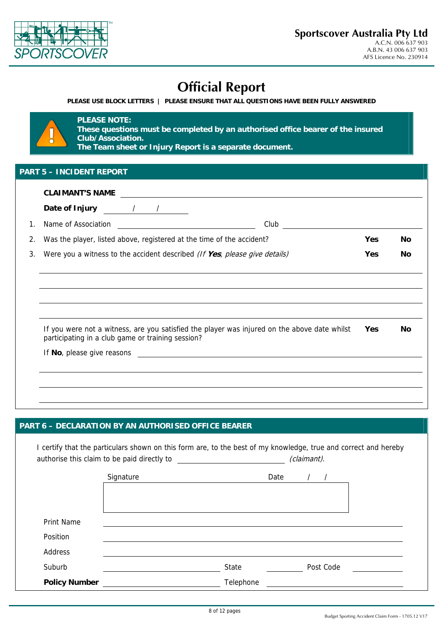

# **Official Report**

**PLEASE USE BLOCK LETTERS | PLEASE ENSURE THAT ALL QUESTIONS HAVE BEEN FULLY ANSWERED** 

### **PLEASE NOTE:**

**These questions must be completed by an authorised office bearer of the insured Club/Association. The Team sheet or Injury Report is a separate document.**

|    | <b>CLAIMANT'S NAME</b><br><u> 1989 - Johann Harry Harry Harry Harry Harry Harry Harry Harry Harry Harry Harry Harry Harry Harry Harry Harry</u>   |            |           |
|----|---------------------------------------------------------------------------------------------------------------------------------------------------|------------|-----------|
|    | Date of Injury 11.12                                                                                                                              |            |           |
| 1. | Name of Association<br>Club <u>__________________</u><br><u> 1980 - Andrea Barbara, poeta espa</u>                                                |            |           |
| 2. | Was the player, listed above, registered at the time of the accident?                                                                             | Yes        | <b>No</b> |
| 3. | Were you a witness to the accident described (If Yes, please give details)                                                                        | <b>Yes</b> | No        |
|    |                                                                                                                                                   |            |           |
|    |                                                                                                                                                   |            |           |
|    | If you were not a witness, are you satisfied the player was injured on the above date whilst<br>participating in a club game or training session? | Yes.       | Nο        |
|    |                                                                                                                                                   |            |           |
|    |                                                                                                                                                   |            |           |
|    |                                                                                                                                                   |            |           |

#### **PART 6 – DECLARATION BY AN AUTHORISED OFFICE BEARER**

I certify that the particulars shown on this form are, to the best of my knowledge, true and correct and hereby authorise this claim to be paid directly to  $(claimant)$ . Signature Date / / Print Name Position Address Suburb **State** Post Code **Post Code** 

**Policy Number Telephone**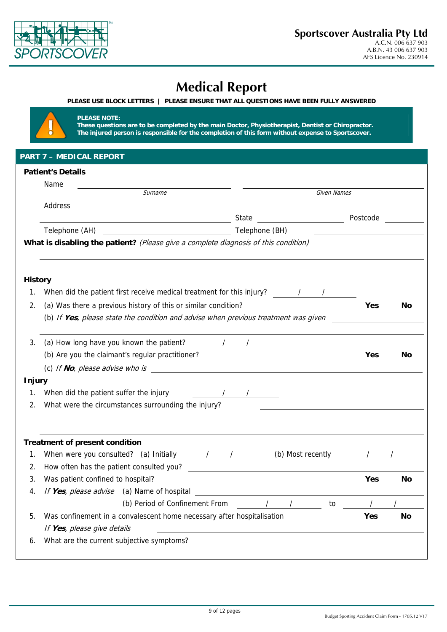

# **Medical Report**

**PLEASE NOTE:** 

**These questions are to be completed by the main Doctor, Physiotherapist, Dentist or Chiropractor. The injured person is responsible for the completion of this form without expense to Sportscover.** 

|                | <b>Patient's Details</b>                                                            |            |                                                 |            |           |
|----------------|-------------------------------------------------------------------------------------|------------|-------------------------------------------------|------------|-----------|
|                | Name                                                                                |            |                                                 |            |           |
|                | Surname                                                                             |            | Given Names                                     |            |           |
|                | Address                                                                             |            |                                                 |            |           |
|                |                                                                                     | State      | <u> 1990 - John Stone, amerikansk politiker</u> | Postcode   |           |
|                |                                                                                     |            |                                                 |            |           |
|                | What is disabling the patient? (Please give a complete diagnosis of this condition) |            |                                                 |            |           |
| <b>History</b> |                                                                                     |            |                                                 |            |           |
| 1.             |                                                                                     |            |                                                 |            |           |
| 2.             | (a) Was there a previous history of this or similar condition?                      |            |                                                 | Yes        | No        |
|                | (b) If Yes, please state the condition and advise when previous treatment was given |            |                                                 |            |           |
| 3.             | (a) How long have you known the patient? / / /                                      |            |                                                 |            |           |
|                | (b) Are you the claimant's regular practitioner?                                    |            |                                                 | <b>Yes</b> | No        |
|                | (c) If $No$ , please advise who is                                                  |            |                                                 |            |           |
| <b>Injury</b>  |                                                                                     |            |                                                 |            |           |
| 1.             | When did the patient suffer the injury $\sqrt{2\pi}$                                |            |                                                 |            |           |
| 2.             | What were the circumstances surrounding the injury?                                 |            |                                                 |            |           |
|                | <b>Treatment of present condition</b>                                               |            |                                                 |            |           |
| 1.             |                                                                                     |            |                                                 |            |           |
| 2.             | How often has the patient consulted you?                                            |            |                                                 |            |           |
| 3.             | Was patient confined to hospital?                                                   |            |                                                 | <b>Yes</b> | No        |
| 4.             | If Yes, please advise (a) Name of hospital                                          |            |                                                 |            |           |
|                | (b) Period of Confinement From                                                      | $\sqrt{2}$ | to                                              |            |           |
| 5.             | Was confinement in a convalescent home necessary after hospitalisation              |            |                                                 | Yes        | <b>No</b> |
|                | If Yes, please give details                                                         |            |                                                 |            |           |
| 6.             | What are the current subjective symptoms?                                           |            |                                                 |            |           |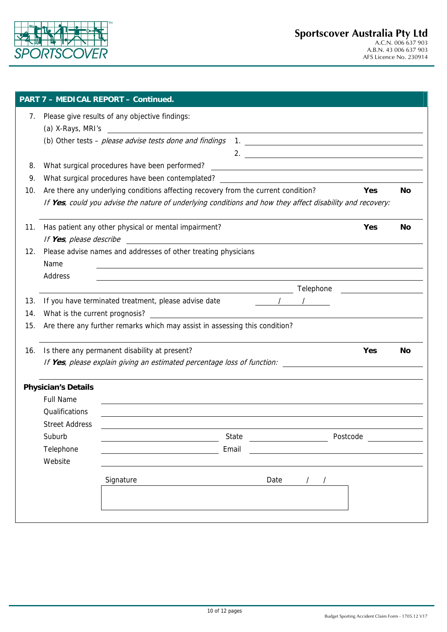

|     |                                | Please give results of any objective findings:                                                                                                                                                  |                                                                                                                       |      |                                                                                                                                                                                                                                                                                                                                              |          |           |
|-----|--------------------------------|-------------------------------------------------------------------------------------------------------------------------------------------------------------------------------------------------|-----------------------------------------------------------------------------------------------------------------------|------|----------------------------------------------------------------------------------------------------------------------------------------------------------------------------------------------------------------------------------------------------------------------------------------------------------------------------------------------|----------|-----------|
|     | (a) X-Rays, MRI's              |                                                                                                                                                                                                 |                                                                                                                       |      |                                                                                                                                                                                                                                                                                                                                              |          |           |
|     |                                | (b) Other tests - please advise tests done and findings                                                                                                                                         |                                                                                                                       |      | $1.$ $\frac{1}{2}$ $\frac{1}{2}$ $\frac{1}{2}$ $\frac{1}{2}$ $\frac{1}{2}$ $\frac{1}{2}$ $\frac{1}{2}$ $\frac{1}{2}$ $\frac{1}{2}$ $\frac{1}{2}$ $\frac{1}{2}$ $\frac{1}{2}$ $\frac{1}{2}$ $\frac{1}{2}$ $\frac{1}{2}$ $\frac{1}{2}$ $\frac{1}{2}$ $\frac{1}{2}$ $\frac{1}{2}$ $\frac{1}{2}$ $\frac{1}{2}$ $\frac{1}{$<br>2. $\qquad \qquad$ |          |           |
| 8.  |                                | What surgical procedures have been performed?                                                                                                                                                   |                                                                                                                       |      |                                                                                                                                                                                                                                                                                                                                              |          |           |
| 9.  |                                | What surgical procedures have been contemplated? _______________________________                                                                                                                |                                                                                                                       |      |                                                                                                                                                                                                                                                                                                                                              |          |           |
| 10. |                                | Are there any underlying conditions affecting recovery from the current condition?<br>If Yes, could you advise the nature of underlying conditions and how they affect disability and recovery: |                                                                                                                       |      |                                                                                                                                                                                                                                                                                                                                              | Yes      | <b>No</b> |
| 11. | If Yes, please describe        | Has patient any other physical or mental impairment?                                                                                                                                            |                                                                                                                       |      |                                                                                                                                                                                                                                                                                                                                              | Yes      | <b>No</b> |
| 12. | Name                           | Please advise names and addresses of other treating physicians                                                                                                                                  | <u> 1980 - Jan Samuel Barbara, martin a shekara tsara 1980 - An tsara 1980 - An tsara 1980 - An tsara 1980 - An t</u> |      |                                                                                                                                                                                                                                                                                                                                              |          |           |
|     | Address                        |                                                                                                                                                                                                 |                                                                                                                       |      |                                                                                                                                                                                                                                                                                                                                              |          |           |
|     |                                |                                                                                                                                                                                                 |                                                                                                                       |      |                                                                                                                                                                                                                                                                                                                                              |          |           |
| 13. |                                | If you have terminated treatment, please advise date                                                                                                                                            |                                                                                                                       |      |                                                                                                                                                                                                                                                                                                                                              |          |           |
| 14. | What is the current prognosis? |                                                                                                                                                                                                 | <u> 1980 - Johann Barnett, fransk politik (f. 1980)</u>                                                               |      |                                                                                                                                                                                                                                                                                                                                              |          |           |
| 15. |                                | Are there any further remarks which may assist in assessing this condition?                                                                                                                     |                                                                                                                       |      |                                                                                                                                                                                                                                                                                                                                              |          |           |
| 16. |                                | Is there any permanent disability at present?                                                                                                                                                   |                                                                                                                       |      |                                                                                                                                                                                                                                                                                                                                              | Yes      | No        |
|     |                                | If Yes, please explain giving an estimated percentage loss of function:                                                                                                                         |                                                                                                                       |      |                                                                                                                                                                                                                                                                                                                                              |          |           |
|     | <b>Physician's Details</b>     |                                                                                                                                                                                                 |                                                                                                                       |      |                                                                                                                                                                                                                                                                                                                                              |          |           |
|     | <b>Full Name</b>               |                                                                                                                                                                                                 |                                                                                                                       |      |                                                                                                                                                                                                                                                                                                                                              |          |           |
|     | Qualifications                 | ,我们也不会有一个人的人,我们也不会有一个人的人,我们也不会有一个人的人。""我们,我们也不会有一个人的人,我们也不会有一个人的人,我们也不会有一个人的人,我们                                                                                                                |                                                                                                                       |      |                                                                                                                                                                                                                                                                                                                                              |          |           |
|     | <b>Street Address</b>          |                                                                                                                                                                                                 |                                                                                                                       |      |                                                                                                                                                                                                                                                                                                                                              |          |           |
|     | Suburb                         |                                                                                                                                                                                                 | State                                                                                                                 |      |                                                                                                                                                                                                                                                                                                                                              | Postcode |           |
|     | Telephone                      |                                                                                                                                                                                                 | Email                                                                                                                 |      |                                                                                                                                                                                                                                                                                                                                              |          |           |
|     | Website                        |                                                                                                                                                                                                 |                                                                                                                       |      |                                                                                                                                                                                                                                                                                                                                              |          |           |
|     |                                | Signature                                                                                                                                                                                       |                                                                                                                       | Date | $\prime$                                                                                                                                                                                                                                                                                                                                     |          |           |
|     |                                |                                                                                                                                                                                                 |                                                                                                                       |      |                                                                                                                                                                                                                                                                                                                                              |          |           |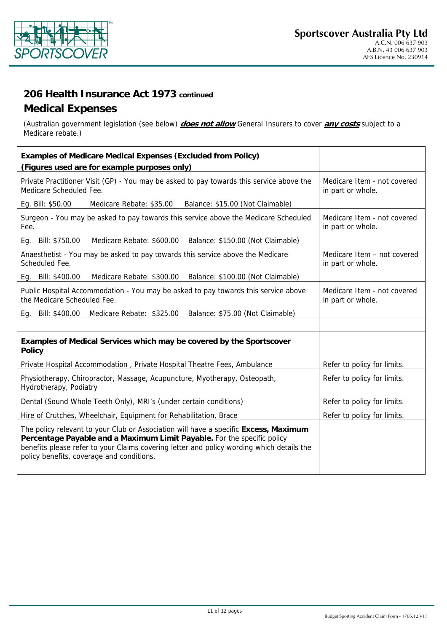

# **206 Health Insurance Act 1973 continued**

## **Medical Expenses**

(Australian government legislation (see below) **does not allow** General Insurers to cover **any costs** subject to a Medicare rebate.)

| <b>Examples of Medicare Medical Expenses (Excluded from Policy)</b>                                                                                                                                                                                                                                       |                                                  |
|-----------------------------------------------------------------------------------------------------------------------------------------------------------------------------------------------------------------------------------------------------------------------------------------------------------|--------------------------------------------------|
| (Figures used are for example purposes only)                                                                                                                                                                                                                                                              |                                                  |
| Private Practitioner Visit (GP) - You may be asked to pay towards this service above the<br>Medicare Scheduled Fee.                                                                                                                                                                                       | Medicare Item - not covered<br>in part or whole. |
| Eg. Bill: \$50.00<br>Medicare Rebate: \$35.00<br>Balance: \$15.00 (Not Claimable)                                                                                                                                                                                                                         |                                                  |
| Surgeon - You may be asked to pay towards this service above the Medicare Scheduled<br>Fee.                                                                                                                                                                                                               | Medicare Item - not covered<br>in part or whole. |
| Medicare Rebate: \$600.00 Balance: \$150.00 (Not Claimable)<br>Eg. Bill: \$750.00                                                                                                                                                                                                                         |                                                  |
| Anaesthetist - You may be asked to pay towards this service above the Medicare<br>Scheduled Fee.                                                                                                                                                                                                          | Medicare Item - not covered<br>in part or whole. |
| Eg. Bill: \$400.00<br>Medicare Rebate: \$300.00 Balance: \$100.00 (Not Claimable)                                                                                                                                                                                                                         |                                                  |
| Public Hospital Accommodation - You may be asked to pay towards this service above<br>the Medicare Scheduled Fee.                                                                                                                                                                                         | Medicare Item - not covered<br>in part or whole. |
| Eg. Bill: \$400.00<br>Medicare Rebate: \$325.00 Balance: \$75.00 (Not Claimable)                                                                                                                                                                                                                          |                                                  |
|                                                                                                                                                                                                                                                                                                           |                                                  |
| Examples of Medical Services which may be covered by the Sportscover<br><b>Policy</b>                                                                                                                                                                                                                     |                                                  |
| Private Hospital Accommodation, Private Hospital Theatre Fees, Ambulance                                                                                                                                                                                                                                  | Refer to policy for limits.                      |
| Physiotherapy, Chiropractor, Massage, Acupuncture, Myotherapy, Osteopath,<br>Hydrotherapy, Podiatry                                                                                                                                                                                                       | Refer to policy for limits.                      |
| Dental (Sound Whole Teeth Only), MRI's (under certain conditions)                                                                                                                                                                                                                                         | Refer to policy for limits.                      |
| Hire of Crutches, Wheelchair, Equipment for Rehabilitation, Brace                                                                                                                                                                                                                                         | Refer to policy for limits.                      |
| The policy relevant to your Club or Association will have a specific Excess, Maximum<br>Percentage Payable and a Maximum Limit Payable. For the specific policy<br>benefits please refer to your Claims covering letter and policy wording which details the<br>policy benefits, coverage and conditions. |                                                  |